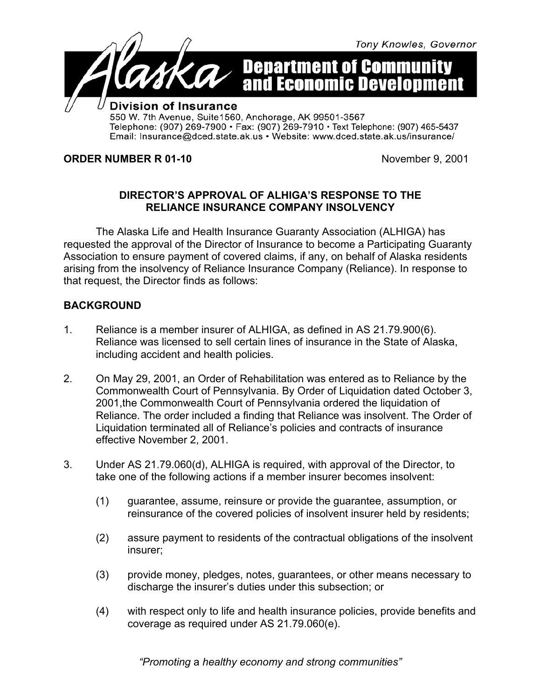

**ORDER NUMBER R 01-10** November 9, 2001

## **DIRECTOR'S APPROVAL OF ALHIGA'S RESPONSE TO THE RELIANCE INSURANCE COMPANY INSOLVENCY**

The Alaska Life and Health Insurance Guaranty Association (ALHIGA) has requested the approval of the Director of Insurance to become a Participating Guaranty Association to ensure payment of covered claims, if any, on behalf of Alaska residents arising from the insolvency of Reliance Insurance Company (Reliance). In response to that request, the Director finds as follows:

## **BACKGROUND**

- 1. Reliance is a member insurer of ALHIGA, as defined in AS 21.79.900(6). Reliance was licensed to sell certain lines of insurance in the State of Alaska, including accident and health policies.
- 2. On May 29, 2001, an Order of Rehabilitation was entered as to Reliance by the Commonwealth Court of Pennsylvania. By Order of Liquidation dated October 3, 2001,the Commonwealth Court of Pennsylvania ordered the liquidation of Reliance. The order included a finding that Reliance was insolvent. The Order of Liquidation terminated all of Reliance's policies and contracts of insurance effective November 2, 2001.
- 3. Under AS 21.79.060(d), ALHIGA is required, with approval of the Director, to take one of the following actions if a member insurer becomes insolvent:
	- (1) guarantee, assume, reinsure or provide the guarantee, assumption, or reinsurance of the covered policies of insolvent insurer held by residents;
	- (2) assure payment to residents of the contractual obligations of the insolvent insurer;
	- (3) provide money, pledges, notes, guarantees, or other means necessary to discharge the insurer's duties under this subsection; or
	- (4) with respect only to life and health insurance policies, provide benefits and coverage as required under AS 21.79.060(e).

*"Promoting* a *healthy economy and strong communities"*